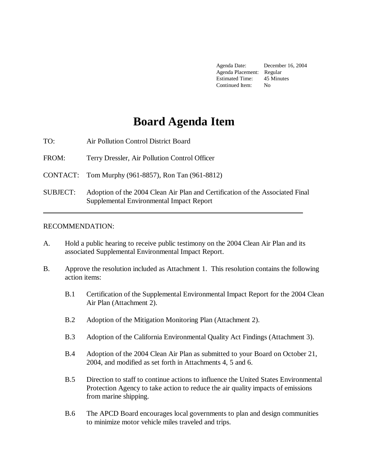Agenda Date: December 16, 2004 Agenda Placement: Regular Estimated Time: 45 Minutes Continued Item: No

# **Board Agenda Item**

TO: Air Pollution Control District Board

FROM: Terry Dressler, Air Pollution Control Officer

CONTACT: Tom Murphy (961-8857), Ron Tan (961-8812)

SUBJECT: Adoption of the 2004 Clean Air Plan and Certification of the Associated Final Supplemental Environmental Impact Report

#### RECOMMENDATION:

- A. Hold a public hearing to receive public testimony on the 2004 Clean Air Plan and its associated Supplemental Environmental Impact Report.
- B. Approve the resolution included as Attachment 1. This resolution contains the following action items:
	- B.1 Certification of the Supplemental Environmental Impact Report for the 2004 Clean Air Plan (Attachment 2).
	- B.2 Adoption of the Mitigation Monitoring Plan (Attachment 2).
	- B.3 Adoption of the California Environmental Quality Act Findings (Attachment 3).
	- B.4 Adoption of the 2004 Clean Air Plan as submitted to your Board on October 21, 2004, and modified as set forth in Attachments 4, 5 and 6.
	- B.5 Direction to staff to continue actions to influence the United States Environmental Protection Agency to take action to reduce the air quality impacts of emissions from marine shipping.
	- B.6 The APCD Board encourages local governments to plan and design communities to minimize motor vehicle miles traveled and trips.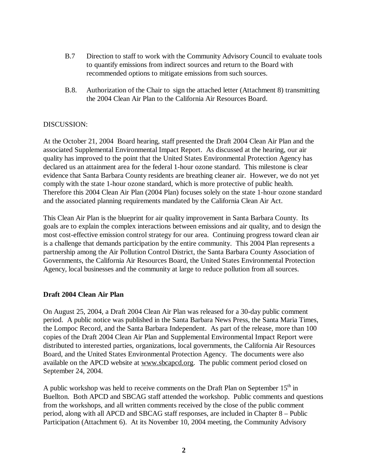- B.7 Direction to staff to work with the Community Advisory Council to evaluate tools to quantify emissions from indirect sources and return to the Board with recommended options to mitigate emissions from such sources.
- B.8. Authorization of the Chair to sign the attached letter (Attachment 8) transmitting the 2004 Clean Air Plan to the California Air Resources Board.

#### DISCUSSION:

At the October 21, 2004 Board hearing, staff presented the Draft 2004 Clean Air Plan and the associated Supplemental Environmental Impact Report. As discussed at the hearing, our air quality has improved to the point that the United States Environmental Protection Agency has declared us an attainment area for the federal 1-hour ozone standard. This milestone is clear evidence that Santa Barbara County residents are breathing cleaner air. However, we do not yet comply with the state 1-hour ozone standard, which is more protective of public health. Therefore this 2004 Clean Air Plan (2004 Plan) focuses solely on the state 1-hour ozone standard and the associated planning requirements mandated by the California Clean Air Act.

This Clean Air Plan is the blueprint for air quality improvement in Santa Barbara County. Its goals are to explain the complex interactions between emissions and air quality, and to design the most cost-effective emission control strategy for our area. Continuing progress toward clean air is a challenge that demands participation by the entire community. This 2004 Plan represents a partnership among the Air Pollution Control District, the Santa Barbara County Association of Governments, the California Air Resources Board, the United States Environmental Protection Agency, local businesses and the community at large to reduce pollution from all sources.

#### **Draft 2004 Clean Air Plan**

On August 25, 2004, a Draft 2004 Clean Air Plan was released for a 30-day public comment period. A public notice was published in the Santa Barbara News Press, the Santa Maria Times, the Lompoc Record, and the Santa Barbara Independent. As part of the release, more than 100 copies of the Draft 2004 Clean Air Plan and Supplemental Environmental Impact Report were distributed to interested parties, organizations, local governments, the California Air Resources Board, and the United States Environmental Protection Agency. The documents were also available on the APCD website at www.sbcapcd.org. The public comment period closed on September 24, 2004.

A public workshop was held to receive comments on the Draft Plan on September  $15<sup>th</sup>$  in Buellton. Both APCD and SBCAG staff attended the workshop. Public comments and questions from the workshops, and all written comments received by the close of the public comment period, along with all APCD and SBCAG staff responses, are included in Chapter 8 – Public Participation (Attachment 6). At its November 10, 2004 meeting, the Community Advisory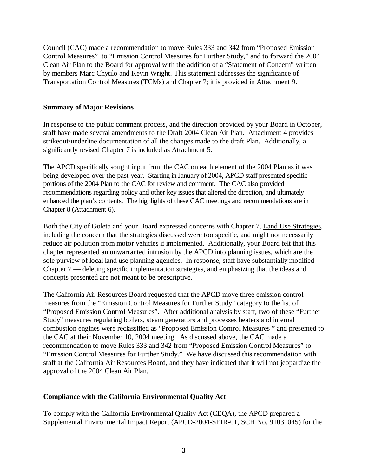Council (CAC) made a recommendation to move Rules 333 and 342 from "Proposed Emission Control Measures" to "Emission Control Measures for Further Study," and to forward the 2004 Clean Air Plan to the Board for approval with the addition of a "Statement of Concern" written by members Marc Chytilo and Kevin Wright. This statement addresses the significance of Transportation Control Measures (TCMs) and Chapter 7; it is provided in Attachment 9.

#### **Summary of Major Revisions**

In response to the public comment process, and the direction provided by your Board in October, staff have made several amendments to the Draft 2004 Clean Air Plan. Attachment 4 provides strikeout/underline documentation of all the changes made to the draft Plan. Additionally, a significantly revised Chapter 7 is included as Attachment 5.

The APCD specifically sought input from the CAC on each element of the 2004 Plan as it was being developed over the past year. Starting in January of 2004, APCD staff presented specific portions of the 2004 Plan to the CAC for review and comment. The CAC also provided recommendations regarding policy and other key issues that altered the direction, and ultimately enhanced the plan's contents. The highlights of these CAC meetings and recommendations are in Chapter 8 (Attachment 6).

Both the City of Goleta and your Board expressed concerns with Chapter 7, Land Use Strategies, including the concern that the strategies discussed were too specific, and might not necessarily reduce air pollution from motor vehicles if implemented. Additionally, your Board felt that this chapter represented an unwarranted intrusion by the APCD into planning issues, which are the sole purview of local land use planning agencies. In response, staff have substantially modified Chapter 7 — deleting specific implementation strategies, and emphasizing that the ideas and concepts presented are not meant to be prescriptive.

The California Air Resources Board requested that the APCD move three emission control measures from the "Emission Control Measures for Further Study" category to the list of "Proposed Emission Control Measures". After additional analysis by staff, two of these "Further Study" measures regulating boilers, steam generators and processes heaters and internal combustion engines were reclassified as "Proposed Emission Control Measures " and presented to the CAC at their November 10, 2004 meeting. As discussed above, the CAC made a recommendation to move Rules 333 and 342 from "Proposed Emission Control Measures" to "Emission Control Measures for Further Study." We have discussed this recommendation with staff at the California Air Resources Board, and they have indicated that it will not jeopardize the approval of the 2004 Clean Air Plan.

#### **Compliance with the California Environmental Quality Act**

To comply with the California Environmental Quality Act (CEQA), the APCD prepared a Supplemental Environmental Impact Report (APCD-2004-SEIR-01, SCH No. 91031045) for the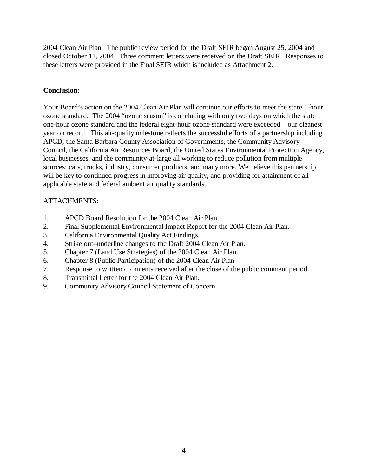2004 Clean Air Plan. The public review period for the Draft SEIR began August 25, 2004 and closed October 11, 2004. Three comment letters were received on the Draft SEIR. Responses to these letters were provided in the Final SEIR which is included as Attachment 2.

#### **Conclusion**:

Your Board's action on the 2004 Clean Air Plan will continue our efforts to meet the state 1-hour ozone standard. The 2004 "ozone season" is concluding with only two days on which the state one-hour ozone standard and the federal eight-hour ozone standard were exceeded – our cleanest year on record. This air-quality milestone reflects the successful efforts of a partnership including APCD, the Santa Barbara County Association of Governments, the Community Advisory Council, the California Air Resources Board, the United States Environmental Protection Agency, local businesses, and the community-at-large all working to reduce pollution from multiple sources: cars, trucks, industry, consumer products, and many more. We believe this partnership will be key to continued progress in improving air quality, and providing for attainment of all applicable state and federal ambient air quality standards.

#### ATTACHMENTS:

- 1. APCD Board Resolution for the 2004 Clean Air Plan.
- 2. Final Supplemental Environmental Impact Report for the 2004 Clean Air Plan.
- 3. California Environmental Quality Act Findings.
- 4. Strike out–underline changes to the Draft 2004 Clean Air Plan.
- 5. Chapter 7 (Land Use Strategies) of the 2004 Clean Air Plan.
- 6. Chapter 8 (Public Participation) of the 2004 Clean Air Plan
- 7. Response to written comments received after the close of the public comment period.
- 8. Transmittal Letter for the 2004 Clean Air Plan.
- 9. Community Advisory Council Statement of Concern.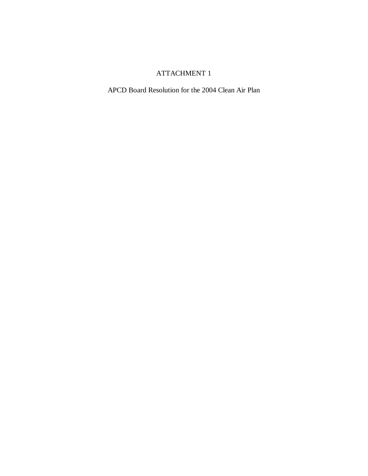APCD Board Resolution for the 2004 Clean Air Plan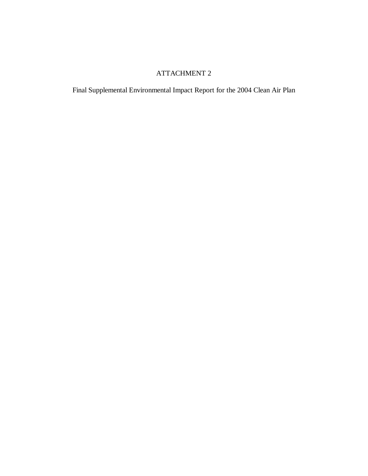Final Supplemental Environmental Impact Report for the 2004 Clean Air Plan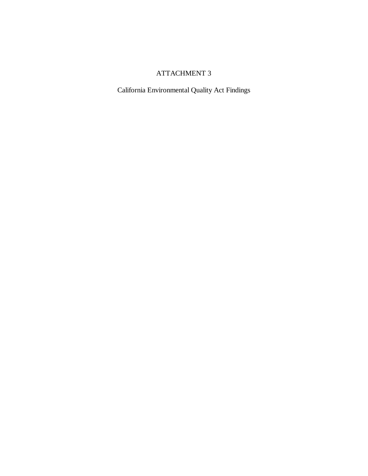California Environmental Quality Act Findings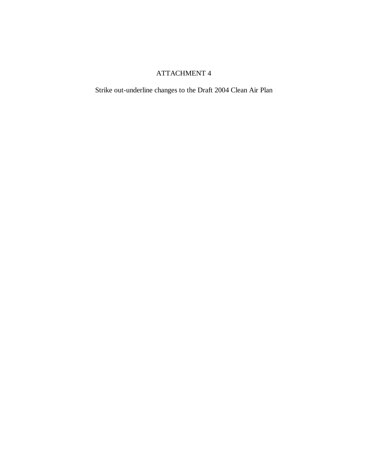Strike out-underline changes to the Draft 2004 Clean Air Plan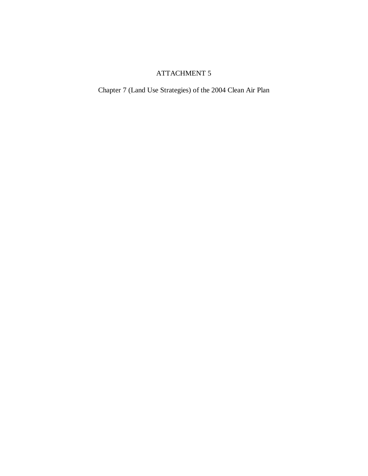Chapter 7 (Land Use Strategies) of the 2004 Clean Air Plan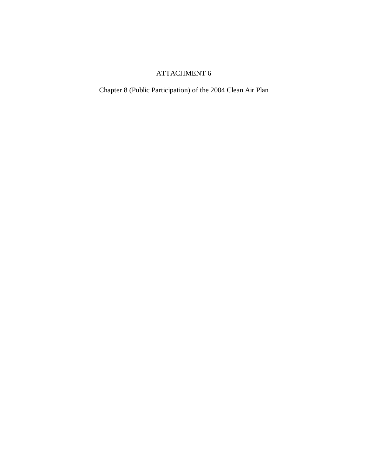Chapter 8 (Public Participation) of the 2004 Clean Air Plan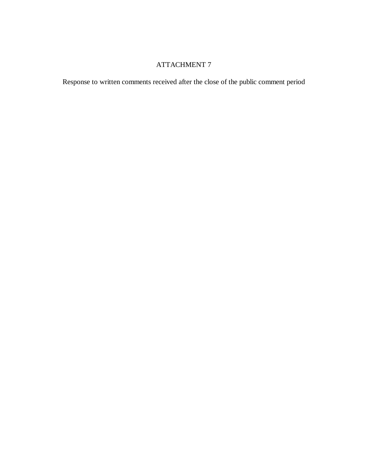Response to written comments received after the close of the public comment period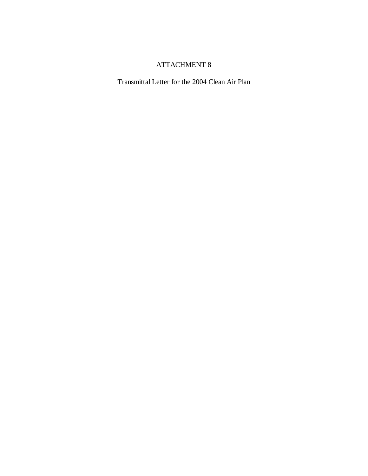Transmittal Letter for the 2004 Clean Air Plan